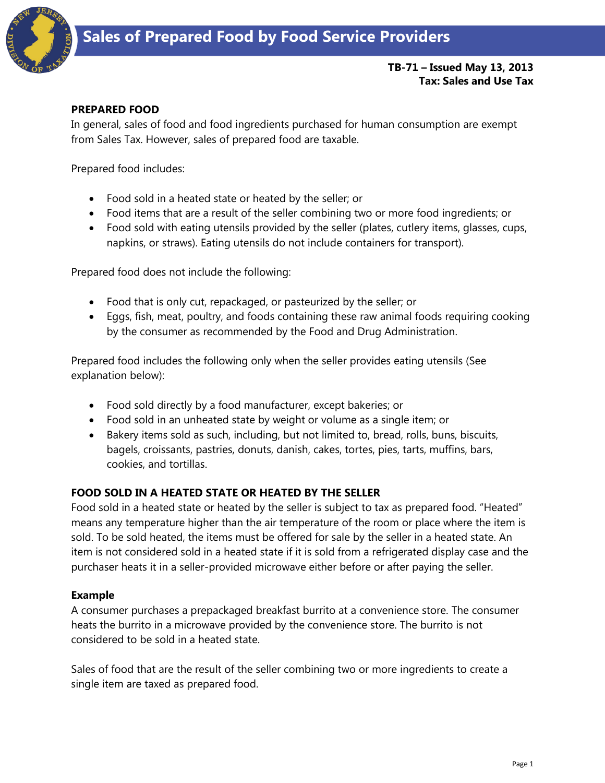

## **TB-71 – Issued May 13, 2013 Tax: Sales and Use Tax**

#### **PREPARED FOOD**

In general, sales of food and food ingredients purchased for human consumption are exempt from Sales Tax. However, sales of prepared food are taxable.

Prepared food includes:

- Food sold in a heated state or heated by the seller; or
- Food items that are a result of the seller combining two or more food ingredients; or
- Food sold with eating utensils provided by the seller (plates, cutlery items, glasses, cups, napkins, or straws). Eating utensils do not include containers for transport).

Prepared food does not include the following:

- Food that is only cut, repackaged, or pasteurized by the seller; or
- Eggs, fish, meat, poultry, and foods containing these raw animal foods requiring cooking by the consumer as recommended by the Food and Drug Administration.

Prepared food includes the following only when the seller provides eating utensils (See explanation below):

- Food sold directly by a food manufacturer, except bakeries; or
- Food sold in an unheated state by weight or volume as a single item; or
- Bakery items sold as such, including, but not limited to, bread, rolls, buns, biscuits, bagels, croissants, pastries, donuts, danish, cakes, tortes, pies, tarts, muffins, bars, cookies, and tortillas.

## **FOOD SOLD IN A HEATED STATE OR HEATED BY THE SELLER**

Food sold in a heated state or heated by the seller is subject to tax as prepared food. "Heated" means any temperature higher than the air temperature of the room or place where the item is sold. To be sold heated, the items must be offered for sale by the seller in a heated state. An item is not considered sold in a heated state if it is sold from a refrigerated display case and the purchaser heats it in a seller-provided microwave either before or after paying the seller.

#### **Example**

A consumer purchases a prepackaged breakfast burrito at a convenience store. The consumer heats the burrito in a microwave provided by the convenience store. The burrito is not considered to be sold in a heated state.

Sales of food that are the result of the seller combining two or more ingredients to create a single item are taxed as prepared food.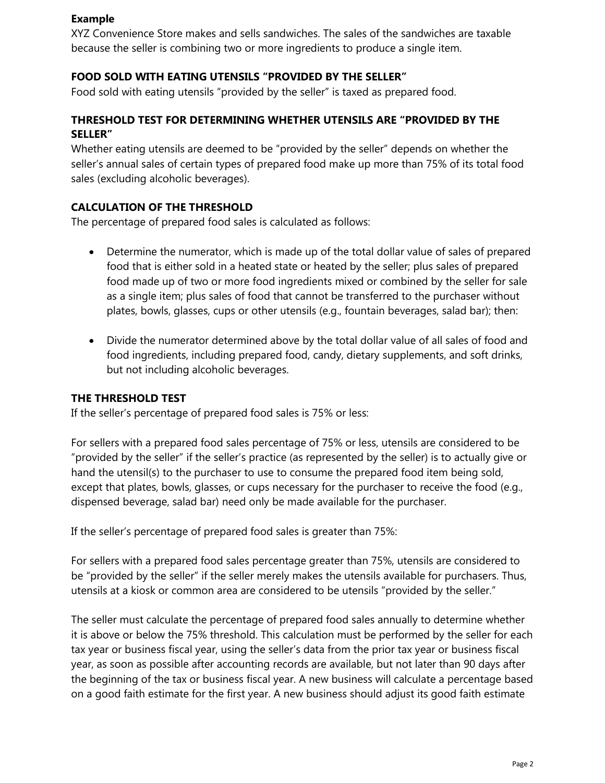#### **Example**

XYZ Convenience Store makes and sells sandwiches. The sales of the sandwiches are taxable because the seller is combining two or more ingredients to produce a single item.

## **FOOD SOLD WITH EATING UTENSILS "PROVIDED BY THE SELLER"**

Food sold with eating utensils "provided by the seller" is taxed as prepared food.

## **THRESHOLD TEST FOR DETERMINING WHETHER UTENSILS ARE "PROVIDED BY THE SELLER"**

Whether eating utensils are deemed to be "provided by the seller" depends on whether the seller's annual sales of certain types of prepared food make up more than 75% of its total food sales (excluding alcoholic beverages).

## **CALCULATION OF THE THRESHOLD**

The percentage of prepared food sales is calculated as follows:

- Determine the numerator, which is made up of the total dollar value of sales of prepared food that is either sold in a heated state or heated by the seller; plus sales of prepared food made up of two or more food ingredients mixed or combined by the seller for sale as a single item; plus sales of food that cannot be transferred to the purchaser without plates, bowls, glasses, cups or other utensils (e.g., fountain beverages, salad bar); then:
- Divide the numerator determined above by the total dollar value of all sales of food and food ingredients, including prepared food, candy, dietary supplements, and soft drinks, but not including alcoholic beverages.

## **THE THRESHOLD TEST**

If the seller's percentage of prepared food sales is 75% or less:

For sellers with a prepared food sales percentage of 75% or less, utensils are considered to be "provided by the seller" if the seller's practice (as represented by the seller) is to actually give or hand the utensil(s) to the purchaser to use to consume the prepared food item being sold, except that plates, bowls, glasses, or cups necessary for the purchaser to receive the food (e.g., dispensed beverage, salad bar) need only be made available for the purchaser.

If the seller's percentage of prepared food sales is greater than 75%:

For sellers with a prepared food sales percentage greater than 75%, utensils are considered to be "provided by the seller" if the seller merely makes the utensils available for purchasers. Thus, utensils at a kiosk or common area are considered to be utensils "provided by the seller."

The seller must calculate the percentage of prepared food sales annually to determine whether it is above or below the 75% threshold. This calculation must be performed by the seller for each tax year or business fiscal year, using the seller's data from the prior tax year or business fiscal year, as soon as possible after accounting records are available, but not later than 90 days after the beginning of the tax or business fiscal year. A new business will calculate a percentage based on a good faith estimate for the first year. A new business should adjust its good faith estimate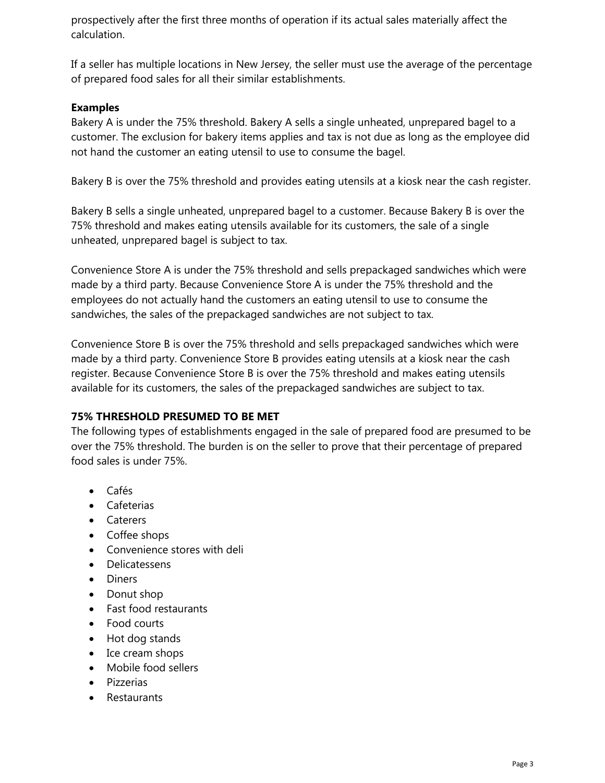prospectively after the first three months of operation if its actual sales materially affect the calculation.

If a seller has multiple locations in New Jersey, the seller must use the average of the percentage of prepared food sales for all their similar establishments.

## **Examples**

Bakery A is under the 75% threshold. Bakery A sells a single unheated, unprepared bagel to a customer. The exclusion for bakery items applies and tax is not due as long as the employee did not hand the customer an eating utensil to use to consume the bagel.

Bakery B is over the 75% threshold and provides eating utensils at a kiosk near the cash register.

Bakery B sells a single unheated, unprepared bagel to a customer. Because Bakery B is over the 75% threshold and makes eating utensils available for its customers, the sale of a single unheated, unprepared bagel is subject to tax.

Convenience Store A is under the 75% threshold and sells prepackaged sandwiches which were made by a third party. Because Convenience Store A is under the 75% threshold and the employees do not actually hand the customers an eating utensil to use to consume the sandwiches, the sales of the prepackaged sandwiches are not subject to tax.

Convenience Store B is over the 75% threshold and sells prepackaged sandwiches which were made by a third party. Convenience Store B provides eating utensils at a kiosk near the cash register. Because Convenience Store B is over the 75% threshold and makes eating utensils available for its customers, the sales of the prepackaged sandwiches are subject to tax.

#### **75% THRESHOLD PRESUMED TO BE MET**

The following types of establishments engaged in the sale of prepared food are presumed to be over the 75% threshold. The burden is on the seller to prove that their percentage of prepared food sales is under 75%.

- Cafés
- Cafeterias
- Caterers
- Coffee shops
- Convenience stores with deli
- Delicatessens
- Diners
- Donut shop
- Fast food restaurants
- Food courts
- Hot dog stands
- Ice cream shops
- Mobile food sellers
- Pizzerias
- Restaurants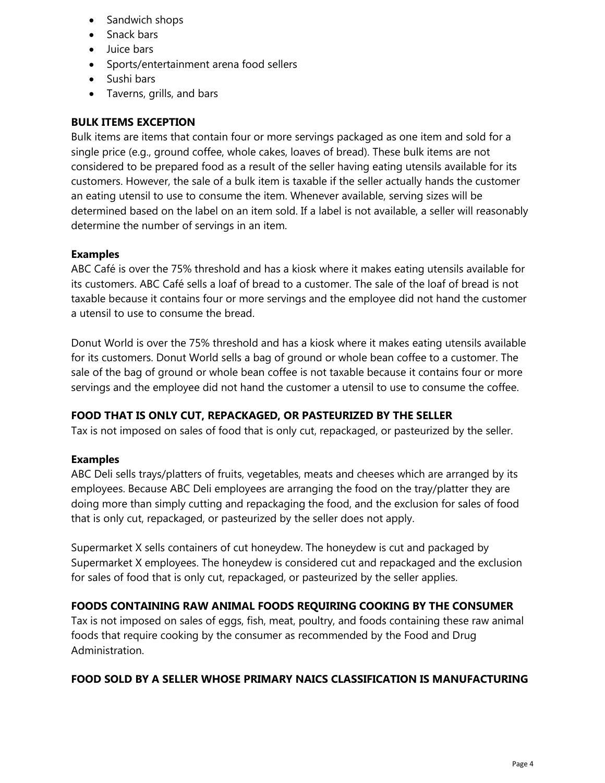- Sandwich shops
- Snack bars
- Juice bars
- Sports/entertainment arena food sellers
- Sushi bars
- Taverns, grills, and bars

# **BULK ITEMS EXCEPTION**

Bulk items are items that contain four or more servings packaged as one item and sold for a single price (e.g., ground coffee, whole cakes, loaves of bread). These bulk items are not considered to be prepared food as a result of the seller having eating utensils available for its customers. However, the sale of a bulk item is taxable if the seller actually hands the customer an eating utensil to use to consume the item. Whenever available, serving sizes will be determined based on the label on an item sold. If a label is not available, a seller will reasonably determine the number of servings in an item.

#### **Examples**

ABC Café is over the 75% threshold and has a kiosk where it makes eating utensils available for its customers. ABC Café sells a loaf of bread to a customer. The sale of the loaf of bread is not taxable because it contains four or more servings and the employee did not hand the customer a utensil to use to consume the bread.

Donut World is over the 75% threshold and has a kiosk where it makes eating utensils available for its customers. Donut World sells a bag of ground or whole bean coffee to a customer. The sale of the bag of ground or whole bean coffee is not taxable because it contains four or more servings and the employee did not hand the customer a utensil to use to consume the coffee.

## **FOOD THAT IS ONLY CUT, REPACKAGED, OR PASTEURIZED BY THE SELLER**

Tax is not imposed on sales of food that is only cut, repackaged, or pasteurized by the seller.

#### **Examples**

ABC Deli sells trays/platters of fruits, vegetables, meats and cheeses which are arranged by its employees. Because ABC Deli employees are arranging the food on the tray/platter they are doing more than simply cutting and repackaging the food, and the exclusion for sales of food that is only cut, repackaged, or pasteurized by the seller does not apply.

Supermarket X sells containers of cut honeydew. The honeydew is cut and packaged by Supermarket X employees. The honeydew is considered cut and repackaged and the exclusion for sales of food that is only cut, repackaged, or pasteurized by the seller applies.

## **FOODS CONTAINING RAW ANIMAL FOODS REQUIRING COOKING BY THE CONSUMER**

Tax is not imposed on sales of eggs, fish, meat, poultry, and foods containing these raw animal foods that require cooking by the consumer as recommended by the Food and Drug Administration.

## **FOOD SOLD BY A SELLER WHOSE PRIMARY NAICS CLASSIFICATION IS MANUFACTURING**